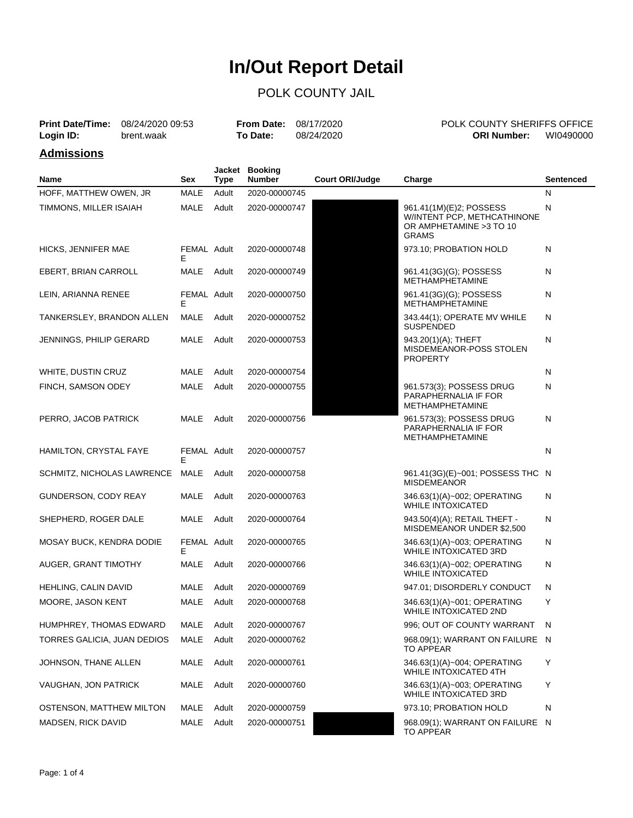### POLK COUNTY JAIL

| <b>Print Date/Time:</b> | 08/24/2020 09:53 |          | <b>From Date: 08/17/2020</b> | POLK COUNTY SHERIFFS OFFICE |           |
|-------------------------|------------------|----------|------------------------------|-----------------------------|-----------|
| Login ID:               | brent.waak       | To Date: | 08/24/2020                   | <b>ORI Number:</b>          | WI0490000 |
| <b>Admissions</b>       |                  |          |                              |                             |           |

| Name                        | Sex              | <b>Type</b> | Jacket Booking<br><b>Number</b> | <b>Court ORI/Judge</b> | Charge                                                                                             | Sentenced |
|-----------------------------|------------------|-------------|---------------------------------|------------------------|----------------------------------------------------------------------------------------------------|-----------|
| HOFF, MATTHEW OWEN, JR      | <b>MALE</b>      | Adult       | 2020-00000745                   |                        |                                                                                                    | N         |
| TIMMONS, MILLER ISAIAH      | <b>MALE</b>      | Adult       | 2020-00000747                   |                        | 961.41(1M)(E)2; POSSESS<br>W/INTENT PCP, METHCATHINONE<br>OR AMPHETAMINE > 3 TO 10<br><b>GRAMS</b> | Ν         |
| HICKS, JENNIFER MAE         | FEMAL Adult<br>Е |             | 2020-00000748                   |                        | 973.10; PROBATION HOLD                                                                             | Ν         |
| EBERT, BRIAN CARROLL        | MALE             | Adult       | 2020-00000749                   |                        | 961.41(3G)(G); POSSESS<br><b>METHAMPHETAMINE</b>                                                   | Ν         |
| LEIN, ARIANNA RENEE         | FEMAL Adult<br>Е |             | 2020-00000750                   |                        | 961.41(3G)(G); POSSESS<br><b>METHAMPHETAMINE</b>                                                   | Ν         |
| TANKERSLEY, BRANDON ALLEN   | MALE             | Adult       | 2020-00000752                   |                        | 343.44(1); OPERATE MV WHILE<br><b>SUSPENDED</b>                                                    | Ν         |
| JENNINGS, PHILIP GERARD     | MALE             | Adult       | 2020-00000753                   |                        | 943.20(1)(A); THEFT<br>MISDEMEANOR-POSS STOLEN<br><b>PROPERTY</b>                                  | N         |
| WHITE, DUSTIN CRUZ          | MALE             | Adult       | 2020-00000754                   |                        |                                                                                                    | N         |
| FINCH, SAMSON ODEY          | MALE             | Adult       | 2020-00000755                   |                        | 961.573(3); POSSESS DRUG<br>PARAPHERNALIA IF FOR<br><b>METHAMPHETAMINE</b>                         | Ν         |
| PERRO, JACOB PATRICK        | MALE             | Adult       | 2020-00000756                   |                        | 961.573(3); POSSESS DRUG<br>PARAPHERNALIA IF FOR<br>METHAMPHETAMINE                                | Ν         |
| HAMILTON, CRYSTAL FAYE      | FEMAL Adult<br>Е |             | 2020-00000757                   |                        |                                                                                                    | Ν         |
| SCHMITZ, NICHOLAS LAWRENCE  | MALE             | Adult       | 2020-00000758                   |                        | 961.41(3G)(E)~001; POSSESS THC N<br><b>MISDEMEANOR</b>                                             |           |
| GUNDERSON, CODY REAY        | MALE             | Adult       | 2020-00000763                   |                        | 346.63(1)(A)~002; OPERATING<br><b>WHILE INTOXICATED</b>                                            | N         |
| SHEPHERD, ROGER DALE        | MALE             | Adult       | 2020-00000764                   |                        | 943.50(4)(A); RETAIL THEFT -<br>MISDEMEANOR UNDER \$2,500                                          | Ν         |
| MOSAY BUCK, KENDRA DODIE    | FEMAL Adult<br>Е |             | 2020-00000765                   |                        | 346.63(1)(A)~003; OPERATING<br><b>WHILE INTOXICATED 3RD</b>                                        | Ν         |
| AUGER, GRANT TIMOTHY        | <b>MALE</b>      | Adult       | 2020-00000766                   |                        | 346.63(1)(A)~002; OPERATING<br><b>WHILE INTOXICATED</b>                                            | N         |
| HEHLING, CALIN DAVID        | MALE             | Adult       | 2020-00000769                   |                        | 947.01; DISORDERLY CONDUCT                                                                         | N         |
| MOORE, JASON KENT           | MALE             | Adult       | 2020-00000768                   |                        | 346.63(1)(A)~001; OPERATING<br><b>WHILE INTOXICATED 2ND</b>                                        | Y         |
| HUMPHREY, THOMAS EDWARD     | MALE             | Adult       | 2020-00000767                   |                        | 996; OUT OF COUNTY WARRANT                                                                         | N         |
| TORRES GALICIA, JUAN DEDIOS | <b>MALE</b>      | Adult       | 2020-00000762                   |                        | 968.09(1); WARRANT ON FAILURE N<br><b>TO APPEAR</b>                                                |           |
| JOHNSON, THANE ALLEN        | MALE             | Adult       | 2020-00000761                   |                        | 346.63(1)(A)~004; OPERATING<br><b>WHILE INTOXICATED 4TH</b>                                        | Y         |
| VAUGHAN, JON PATRICK        | MALE             | Adult       | 2020-00000760                   |                        | 346.63(1)(A)~003; OPERATING<br><b>WHILE INTOXICATED 3RD</b>                                        | Υ         |
| OSTENSON, MATTHEW MILTON    | MALE             | Adult       | 2020-00000759                   |                        | 973.10; PROBATION HOLD                                                                             | N         |
| <b>MADSEN, RICK DAVID</b>   | MALE             | Adult       | 2020-00000751                   |                        | 968.09(1); WARRANT ON FAILURE N<br><b>TO APPEAR</b>                                                |           |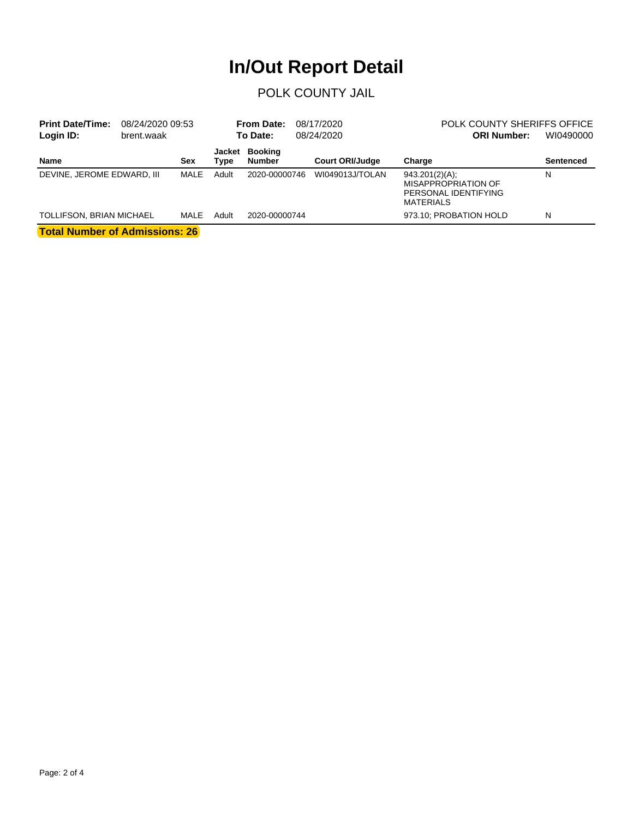### POLK COUNTY JAIL

| <b>Print Date/Time:</b><br>08/24/2020 09:53<br>Login ID:<br>brent.waak |  | 08/17/2020<br><b>From Date:</b><br>To Date:<br>08/24/2020 |                |                                 | POLK COUNTY SHERIFFS OFFICE<br>WI0490000<br><b>ORI Number:</b> |                                                                                          |                  |
|------------------------------------------------------------------------|--|-----------------------------------------------------------|----------------|---------------------------------|----------------------------------------------------------------|------------------------------------------------------------------------------------------|------------------|
| Name                                                                   |  | Sex                                                       | Jacket<br>Type | <b>Booking</b><br><b>Number</b> | <b>Court ORI/Judge</b>                                         | Charge                                                                                   | <b>Sentenced</b> |
| DEVINE, JEROME EDWARD, III                                             |  | MALE                                                      | Adult          | 2020-00000746                   | WI049013J/TOLAN                                                | 943.201(2)(A);<br><b>MISAPPROPRIATION OF</b><br>PERSONAL IDENTIFYING<br><b>MATERIALS</b> | N                |
| <b>TOLLIFSON, BRIAN MICHAEL</b>                                        |  | MALE                                                      | Adult          | 2020-00000744                   |                                                                | 973.10; PROBATION HOLD                                                                   | N                |
|                                                                        |  |                                                           |                |                                 |                                                                |                                                                                          |                  |

**Total Number of Admissions: 26**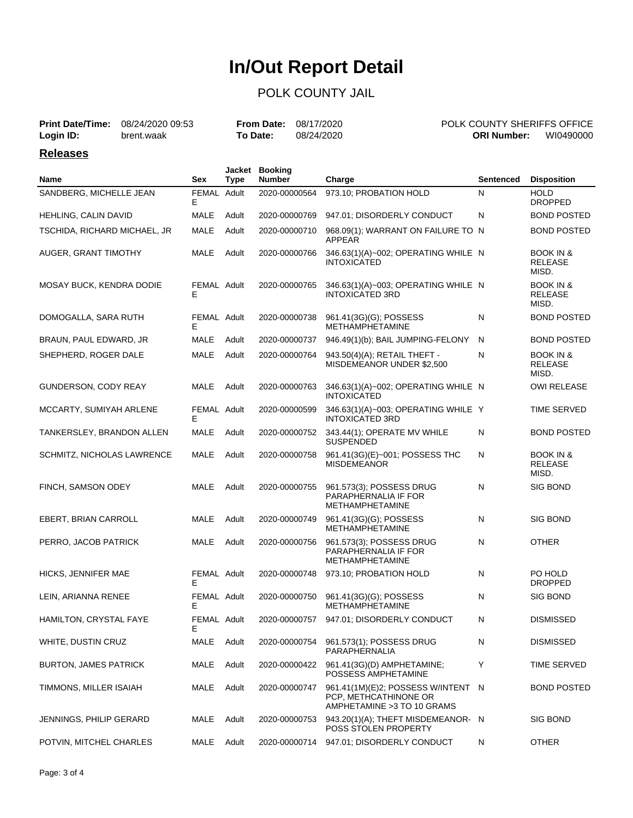### POLK COUNTY JAIL

| <b>Print Date/Time:</b> 08/24/2020 09:53 |            | <b>From Date: 08/17/2020</b> |            | <b>POLK COUNTY SHERIFFS OFFICE</b> |
|------------------------------------------|------------|------------------------------|------------|------------------------------------|
| Login ID:                                | brent.waak | <b>To Date:</b>              | 08/24/2020 | WI0490000<br><b>ORI Number:</b>    |

#### **Releases**

| Name                           | Sex              | <b>Type</b> | Jacket Booking<br><b>Number</b> | Charge                                                                                     | <b>Sentenced</b> | <b>Disposition</b>                              |
|--------------------------------|------------------|-------------|---------------------------------|--------------------------------------------------------------------------------------------|------------------|-------------------------------------------------|
| SANDBERG, MICHELLE JEAN        | FEMAL Adult<br>E |             | 2020-00000564                   | 973.10; PROBATION HOLD                                                                     | N                | <b>HOLD</b><br><b>DROPPED</b>                   |
| <b>HEHLING, CALIN DAVID</b>    | MALE             | Adult       | 2020-00000769                   | 947.01; DISORDERLY CONDUCT                                                                 | N                | <b>BOND POSTED</b>                              |
| TSCHIDA, RICHARD MICHAEL, JR   | MALE             | Adult       | 2020-00000710                   | 968.09(1); WARRANT ON FAILURE TO N<br>APPEAR                                               |                  | <b>BOND POSTED</b>                              |
| AUGER, GRANT TIMOTHY           | MALE             | Adult       | 2020-00000766                   | 346.63(1)(A)~002; OPERATING WHILE N<br><b>INTOXICATED</b>                                  |                  | <b>BOOK IN &amp;</b><br><b>RELEASE</b><br>MISD. |
| MOSAY BUCK, KENDRA DODIE       | FEMAL Adult<br>Е |             | 2020-00000765                   | 346.63(1)(A)~003; OPERATING WHILE N<br>INTOXICATED 3RD                                     |                  | <b>BOOK IN &amp;</b><br><b>RELEASE</b><br>MISD. |
| DOMOGALLA, SARA RUTH           | FEMAL Adult<br>Е |             | 2020-00000738                   | 961.41(3G)(G); POSSESS<br><b>METHAMPHETAMINE</b>                                           | N                | <b>BOND POSTED</b>                              |
| BRAUN, PAUL EDWARD, JR         | MALE             | Adult       | 2020-00000737                   | 946.49(1)(b); BAIL JUMPING-FELONY                                                          | N                | <b>BOND POSTED</b>                              |
| SHEPHERD, ROGER DALE           | MALE             | Adult       | 2020-00000764                   | 943.50(4)(A); RETAIL THEFT -<br>MISDEMEANOR UNDER \$2,500                                  | N                | <b>BOOK IN &amp;</b><br><b>RELEASE</b><br>MISD. |
| GUNDERSON, CODY REAY           | MALE             | Adult       | 2020-00000763                   | 346.63(1)(A)~002; OPERATING WHILE N<br><b>INTOXICATED</b>                                  |                  | OWI RELEASE                                     |
| MCCARTY, SUMIYAH ARLENE        | FEMAL Adult<br>E |             | 2020-00000599                   | 346.63(1)(A)~003; OPERATING WHILE Y<br><b>INTOXICATED 3RD</b>                              |                  | <b>TIME SERVED</b>                              |
| TANKERSLEY, BRANDON ALLEN      | MALE             | Adult       | 2020-00000752                   | 343.44(1); OPERATE MV WHILE<br><b>SUSPENDED</b>                                            | N                | <b>BOND POSTED</b>                              |
| SCHMITZ, NICHOLAS LAWRENCE     | MALE             | Adult       | 2020-00000758                   | 961.41(3G)(E)~001; POSSESS THC<br><b>MISDEMEANOR</b>                                       | N                | <b>BOOK IN &amp;</b><br><b>RELEASE</b><br>MISD. |
| FINCH, SAMSON ODEY             | MALE             | Adult       | 2020-00000755                   | 961.573(3); POSSESS DRUG<br>PARAPHERNALIA IF FOR<br><b>METHAMPHETAMINE</b>                 | $\mathsf{N}$     | <b>SIG BOND</b>                                 |
| EBERT, BRIAN CARROLL           | MALE             | Adult       | 2020-00000749                   | 961.41(3G)(G); POSSESS<br><b>METHAMPHETAMINE</b>                                           | N                | <b>SIG BOND</b>                                 |
| PERRO, JACOB PATRICK           | MALE             | Adult       | 2020-00000756                   | 961.573(3); POSSESS DRUG<br>PARAPHERNALIA IF FOR<br><b>METHAMPHETAMINE</b>                 | N                | <b>OTHER</b>                                    |
| HICKS, JENNIFER MAE            | FEMAL Adult<br>Е |             | 2020-00000748                   | 973.10; PROBATION HOLD                                                                     | N                | PO HOLD<br><b>DROPPED</b>                       |
| LEIN, ARIANNA RENEE            | FEMAL Adult<br>Е |             | 2020-00000750                   | 961.41(3G)(G); POSSESS<br><b>METHAMPHETAMINE</b>                                           | N                | <b>SIG BOND</b>                                 |
| HAMILTON, CRYSTAL FAYE         | FEMAL Adult<br>Е |             | 2020-00000757                   | 947.01; DISORDERLY CONDUCT                                                                 | N                | <b>DISMISSED</b>                                |
| WHITE, DUSTIN CRUZ             | MALE             | Adult       | 2020-00000754                   | 961.573(1); POSSESS DRUG<br>PARAPHERNALIA                                                  | N                | <b>DISMISSED</b>                                |
| <b>BURTON, JAMES PATRICK</b>   | MALE             | Adult       | 2020-00000422                   | 961.41(3G)(D) AMPHETAMINE;<br>POSSESS AMPHETAMINE                                          | Υ                | TIME SERVED                                     |
| TIMMONS, MILLER ISAIAH         | MALE             | Adult       | 2020-00000747                   | 961.41(1M)(E)2; POSSESS W/INTENT N<br>PCP, METHCATHINONE OR<br>AMPHETAMINE > 3 TO 10 GRAMS |                  | BOND POSTED                                     |
| <b>JENNINGS, PHILIP GERARD</b> | <b>MALE</b>      | Adult       | 2020-00000753                   | 943.20(1)(A); THEFT MISDEMEANOR- N<br>POSS STOLEN PROPERTY                                 |                  | SIG BOND                                        |
| POTVIN, MITCHEL CHARLES        | MALE             | Adult       | 2020-00000714                   | 947.01; DISORDERLY CONDUCT                                                                 | N                | <b>OTHER</b>                                    |